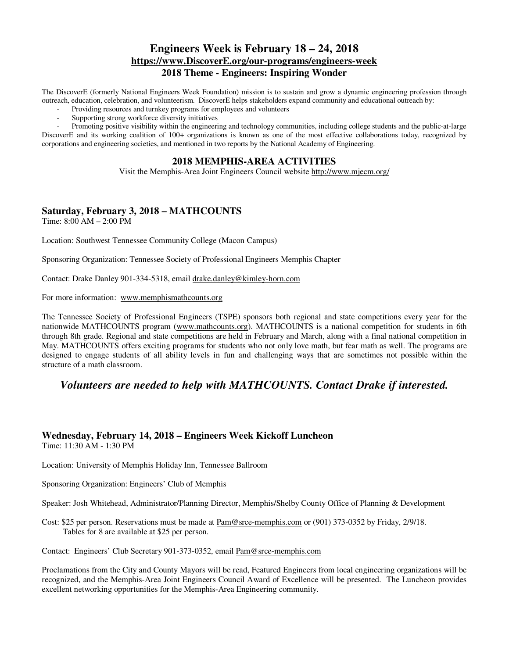# **Engineers Week is February 18 – 24, 2018 https://www.DiscoverE.org/our-programs/engineers-week 2018 Theme - Engineers: Inspiring Wonder**

The DiscoverE (formerly National Engineers Week Foundation) mission is to sustain and grow a dynamic engineering profession through outreach, education, celebration, and volunteerism. DiscoverE helps stakeholders expand community and educational outreach by:

- Providing resources and turnkey programs for employees and volunteers
- Supporting strong workforce diversity initiatives

- Promoting positive visibility within the engineering and technology communities, including college students and the public-at-large DiscoverE and its working coalition of 100+ organizations is known as one of the most effective collaborations today, recognized by corporations and engineering societies, and mentioned in two reports by the National Academy of Engineering.

### **2018 MEMPHIS-AREA ACTIVITIES**

Visit the Memphis-Area Joint Engineers Council website http://www.mjecm.org/

# **Saturday, February 3, 2018 – MATHCOUNTS**

Time: 8:00 AM – 2:00 PM

Location: Southwest Tennessee Community College (Macon Campus)

Sponsoring Organization: Tennessee Society of Professional Engineers Memphis Chapter

Contact: Drake Danley 901-334-5318, email drake.danley@kimley-horn.com

For more information: www.memphismathcounts.org

The Tennessee Society of Professional Engineers (TSPE) sponsors both regional and state competitions every year for the nationwide MATHCOUNTS program (www.mathcounts.org). MATHCOUNTS is a national competition for students in 6th through 8th grade. Regional and state competitions are held in February and March, along with a final national competition in May. MATHCOUNTS offers exciting programs for students who not only love math, but fear math as well. The programs are designed to engage students of all ability levels in fun and challenging ways that are sometimes not possible within the structure of a math classroom.

# *Volunteers are needed to help with MATHCOUNTS. Contact Drake if interested.*

# **Wednesday, February 14, 2018 – Engineers Week Kickoff Luncheon**

Time: 11:30 AM - 1:30 PM

Location: University of Memphis Holiday Inn, Tennessee Ballroom

Sponsoring Organization: Engineers' Club of Memphis

Speaker: Josh Whitehead, Administrator/Planning Director, Memphis/Shelby County Office of Planning & Development

Cost: \$25 per person. Reservations must be made at Pam@srce-memphis.com or (901) 373-0352 by Friday, 2/9/18. Tables for 8 are available at \$25 per person.

Contact: Engineers' Club Secretary 901-373-0352, email Pam@srce-memphis.com

Proclamations from the City and County Mayors will be read, Featured Engineers from local engineering organizations will be recognized, and the Memphis-Area Joint Engineers Council Award of Excellence will be presented. The Luncheon provides excellent networking opportunities for the Memphis-Area Engineering community.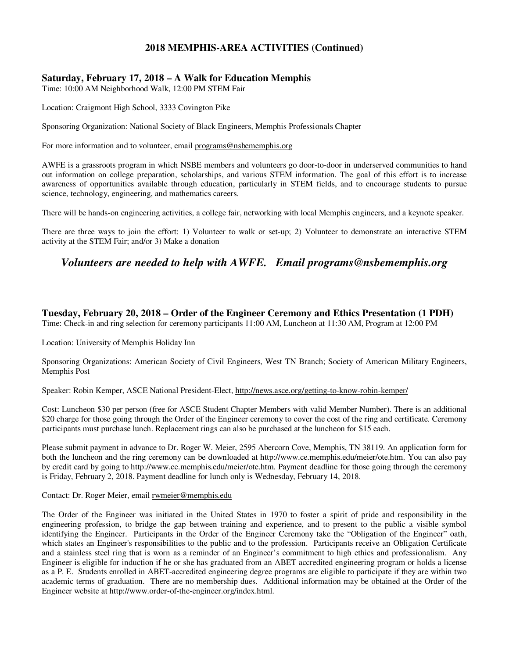# **2018 MEMPHIS-AREA ACTIVITIES (Continued)**

### **Saturday, February 17, 2018 – A Walk for Education Memphis**

Time: 10:00 AM Neighborhood Walk, 12:00 PM STEM Fair

Location: Craigmont High School, 3333 Covington Pike

Sponsoring Organization: National Society of Black Engineers, Memphis Professionals Chapter

For more information and to volunteer, email programs@nsbememphis.org

AWFE is a grassroots program in which NSBE members and volunteers go door-to-door in underserved communities to hand out information on college preparation, scholarships, and various STEM information. The goal of this effort is to increase awareness of opportunities available through education, particularly in STEM fields, and to encourage students to pursue science, technology, engineering, and mathematics careers.

There will be hands-on engineering activities, a college fair, networking with local Memphis engineers, and a keynote speaker.

There are three ways to join the effort: 1) Volunteer to walk or set-up; 2) Volunteer to demonstrate an interactive STEM activity at the STEM Fair; and/or 3) Make a donation

# *Volunteers are needed to help with AWFE. Email programs@nsbememphis.org*

### **Tuesday, February 20, 2018 – Order of the Engineer Ceremony and Ethics Presentation (1 PDH)**

Time: Check-in and ring selection for ceremony participants 11:00 AM, Luncheon at 11:30 AM, Program at 12:00 PM

Location: University of Memphis Holiday Inn

Sponsoring Organizations: American Society of Civil Engineers, West TN Branch; Society of American Military Engineers, Memphis Post

Speaker: Robin Kemper, ASCE National President-Elect, http://news.asce.org/getting-to-know-robin-kemper/

Cost: Luncheon \$30 per person (free for ASCE Student Chapter Members with valid Member Number). There is an additional \$20 charge for those going through the Order of the Engineer ceremony to cover the cost of the ring and certificate. Ceremony participants must purchase lunch. Replacement rings can also be purchased at the luncheon for \$15 each.

Please submit payment in advance to Dr. Roger W. Meier, 2595 Abercorn Cove, Memphis, TN 38119. An application form for both the luncheon and the ring ceremony can be downloaded at http://www.ce.memphis.edu/meier/ote.htm. You can also pay by credit card by going to http://www.ce.memphis.edu/meier/ote.htm. Payment deadline for those going through the ceremony is Friday, February 2, 2018. Payment deadline for lunch only is Wednesday, February 14, 2018.

#### Contact: Dr. Roger Meier, email rwmeier@memphis.edu

The Order of the Engineer was initiated in the United States in 1970 to foster a spirit of pride and responsibility in the engineering profession, to bridge the gap between training and experience, and to present to the public a visible symbol identifying the Engineer. Participants in the Order of the Engineer Ceremony take the "Obligation of the Engineer" oath, which states an Engineer's responsibilities to the public and to the profession. Participants receive an Obligation Certificate and a stainless steel ring that is worn as a reminder of an Engineer's commitment to high ethics and professionalism. Any Engineer is eligible for induction if he or she has graduated from an ABET accredited engineering program or holds a license as a P. E. Students enrolled in ABET-accredited engineering degree programs are eligible to participate if they are within two academic terms of graduation. There are no membership dues. Additional information may be obtained at the Order of the Engineer website at http://www.order-of-the-engineer.org/index.html.